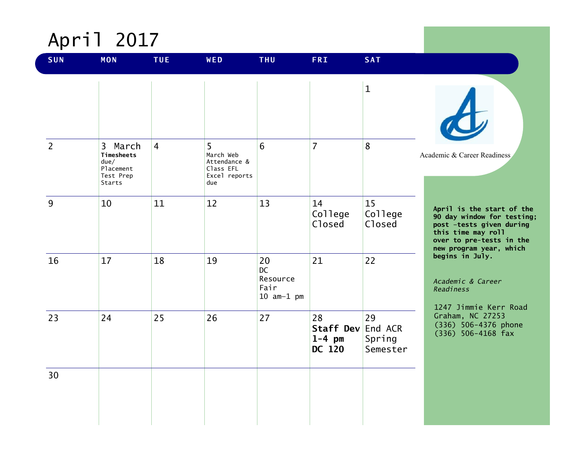

| <b>SUN</b>     | <b>MON</b>                                                        | <b>TUE</b>     | WED                                                                 | <b>THU</b>                                   | <b>FRI</b>                            | <b>SAT</b>                          |                                                                                                                                                                  |
|----------------|-------------------------------------------------------------------|----------------|---------------------------------------------------------------------|----------------------------------------------|---------------------------------------|-------------------------------------|------------------------------------------------------------------------------------------------------------------------------------------------------------------|
|                |                                                                   |                |                                                                     |                                              |                                       | $\mathbf{1}$                        |                                                                                                                                                                  |
| $\overline{2}$ | 3 March<br>Timesheets<br>due/<br>Placement<br>Test Prep<br>Starts | $\overline{4}$ | 5<br>March Web<br>Attendance &<br>Class EFL<br>Excel reports<br>due | 6                                            | $\overline{7}$                        | 8                                   | Academic & Career Readiness                                                                                                                                      |
| 9              | 10                                                                | 11             | 12                                                                  | 13                                           | 14<br>College<br>Closed               | 15<br>College<br>Closed             | April is the start of the<br>90 day window for testing;<br>post -tests given during<br>this time may roll<br>over to pre-tests in the<br>new program year, which |
| 16             | 17                                                                | 18             | 19                                                                  | 20<br>DC<br>Resource<br>Fair<br>$10$ am-1 pm | 21                                    | 22                                  | begins in July.<br>Academic & Career<br>Readiness<br>1247 Jimmie Kerr Road                                                                                       |
| 23             | 24                                                                | 25             | 26                                                                  | 27                                           | 28<br>Staff Dev<br>$1-4$ pm<br>DC 120 | 29<br>End ACR<br>Spring<br>Semester | Graham, NC 27253<br>(336) 506-4376 phone<br>$(336)$ 506-4168 fax                                                                                                 |
| 30             |                                                                   |                |                                                                     |                                              |                                       |                                     |                                                                                                                                                                  |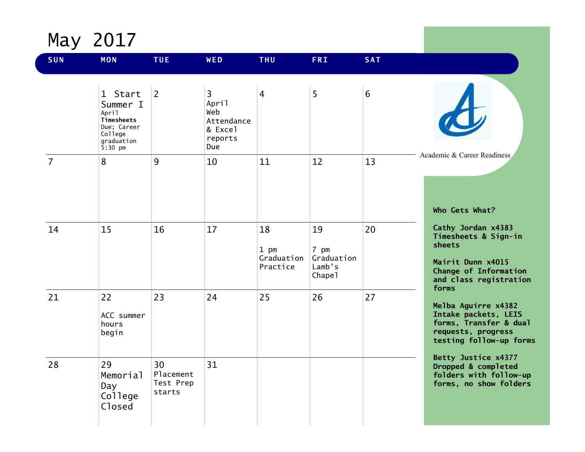May 2017

| <b>SUN</b>     | <b>MON</b>                                                                                      | <b>TUE</b>                             | WED                                                                              | <b>THU</b>                             | <b>FRI</b>                                               | <b>SAT</b> |                                                                                                                                       |
|----------------|-------------------------------------------------------------------------------------------------|----------------------------------------|----------------------------------------------------------------------------------|----------------------------------------|----------------------------------------------------------|------------|---------------------------------------------------------------------------------------------------------------------------------------|
|                | 1 Start<br>Summer I<br>April<br>Timesheets<br>Due; Career<br>College<br>graduation<br>$5:30$ pm | 2                                      | $\overline{3}$<br>April<br>Web<br>Attendance<br>& Excel<br>reports<br><b>Due</b> | $\overline{4}$                         | 5                                                        | 6          |                                                                                                                                       |
| $\overline{7}$ | 8                                                                                               | 9                                      | 10                                                                               | 11                                     | 12                                                       | 13         | Academic & Career Readiness<br>Who Gets What?                                                                                         |
| 14             | 15                                                                                              | 16                                     | 17                                                                               | 18<br>$1$ pm<br>Graduation<br>Practice | 19<br>7 pm<br>Graduation<br>Lamb's<br>Chape <sub>1</sub> | 20         | Cathy Jordan x4383<br>Timesheets & Sign-in<br>sheets<br>Mairit Dunn x4015<br>Change of Information<br>and class registration<br>forms |
| 21             | 22<br>ACC summer<br>hours<br>begin                                                              | 23                                     | 24                                                                               | 25                                     | 26                                                       | 27         | Melba Aguirre x4382<br>Intake packets, LEIS<br>forms, Transfer & dual<br>requests, progress<br>testing follow-up forms                |
| 28             | 29<br>Memorial<br>Day<br>College<br>Closed                                                      | 30<br>Placement<br>Test Prep<br>starts | 31                                                                               |                                        |                                                          |            | Betty Justice x4377<br>Dropped & completed<br>folders with follow-up<br>forms, no show folders                                        |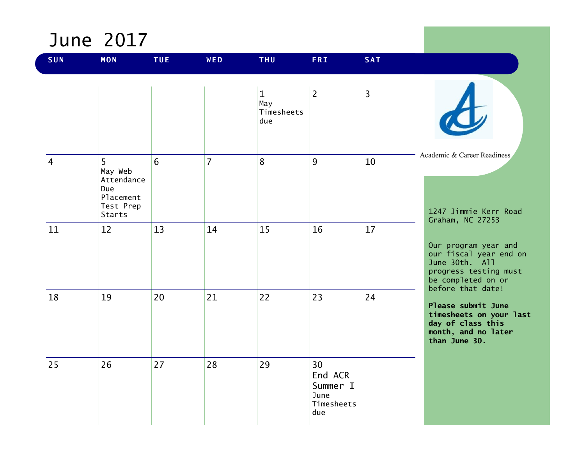#### June 2017

| <b>SUN</b>     | <b>MON</b>                                                            | <b>TUE</b> | WED            | <b>THU</b>                              | <b>FRI</b>                                             | <b>SAT</b>     |                                                                                                                                 |
|----------------|-----------------------------------------------------------------------|------------|----------------|-----------------------------------------|--------------------------------------------------------|----------------|---------------------------------------------------------------------------------------------------------------------------------|
|                |                                                                       |            |                | $\mathbf 1$<br>May<br>Timesheets<br>due | $\overline{2}$                                         | $\overline{3}$ |                                                                                                                                 |
| $\overline{4}$ | 5<br>May Web<br>Attendance<br>Due<br>Placement<br>Test Prep<br>Starts | 6          | $\overline{7}$ | 8                                       | 9                                                      | 10             | Academic & Career Readiness<br>1247 Jimmie Kerr Road<br>Graham, NC 27253                                                        |
| 11             | 12                                                                    | 13         | 14             | 15                                      | 16                                                     | 17             | Our program year and<br>our fiscal year end on<br>June 30th. All<br>progress testing must<br>be completed on or                 |
| 18             | 19                                                                    | 20         | 21             | 22                                      | 23                                                     | 24             | before that date!<br>Please submit June<br>timesheets on your last<br>day of class this<br>month, and no later<br>than June 30. |
| 25             | 26                                                                    | 27         | 28             | 29                                      | 30<br>End ACR<br>Summer I<br>June<br>Timesheets<br>due |                |                                                                                                                                 |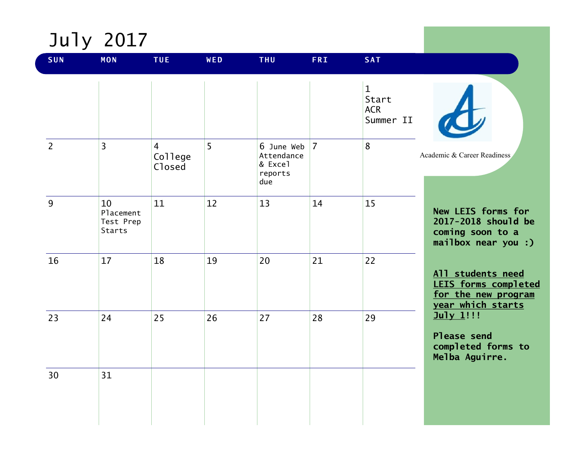

 $\overline{\mathcal{L}}$ 

| <b>SUN</b>     | <b>MON</b>                             | <b>TUE</b>                          | WED            | <b>THU</b>                                                  | <b>FRI</b> | <b>SAT</b>                                       |                                                                                       |
|----------------|----------------------------------------|-------------------------------------|----------------|-------------------------------------------------------------|------------|--------------------------------------------------|---------------------------------------------------------------------------------------|
|                |                                        |                                     |                |                                                             |            | $\mathbf{1}$<br>Start<br><b>ACR</b><br>Summer II |                                                                                       |
| $\overline{2}$ | $\overline{3}$                         | $\overline{4}$<br>College<br>Closed | 5 <sup>5</sup> | 6 June Web $ 7 $<br>Attendance<br>& Excel<br>reports<br>due |            | 8                                                | Academic & Career Readiness                                                           |
| 9              | 10<br>Placement<br>Test Prep<br>Starts | 11                                  | 12             | 13                                                          | 14         | 15                                               | New LEIS forms for<br>2017-2018 should be<br>coming soon to a<br>mailbox near you :)  |
| 16             | 17                                     | 18                                  | 19             | 20                                                          | 21         | 22                                               | All students need<br>LEIS forms completed<br>for the new program<br>year which starts |
| 23             | 24                                     | 25                                  | 26             | 27                                                          | 28         | 29                                               | July 1!!!<br>Please send<br>completed forms to<br>Melba Aguirre.                      |
| 30             | 31                                     |                                     |                |                                                             |            |                                                  |                                                                                       |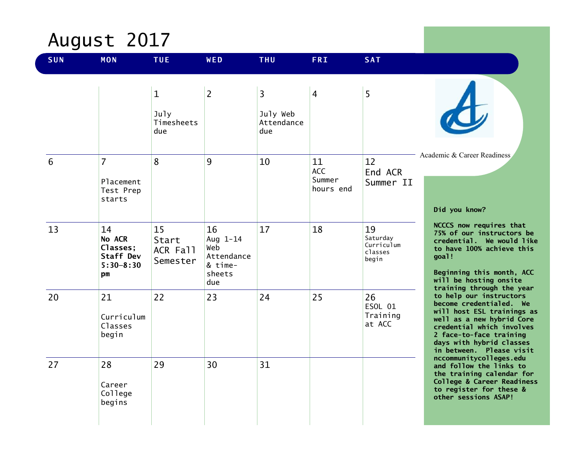# August 2017

| SUN | <b>MON</b>                                                          | <b>TUE</b>                                | WED                                                             | <b>THU</b>                         | <b>FRI</b>                       | <b>SAT</b>                                       |                                                                                                                                                                                                                               |
|-----|---------------------------------------------------------------------|-------------------------------------------|-----------------------------------------------------------------|------------------------------------|----------------------------------|--------------------------------------------------|-------------------------------------------------------------------------------------------------------------------------------------------------------------------------------------------------------------------------------|
|     |                                                                     | $\mathbf{1}$<br>July<br>Timesheets<br>due | $\overline{2}$                                                  | 3<br>July Web<br>Attendance<br>due | $\overline{4}$                   | 5                                                |                                                                                                                                                                                                                               |
| 6   | $\overline{7}$<br>Placement<br>Test Prep<br>starts                  | 8                                         | 9                                                               | 10                                 | 11<br>ACC<br>Summer<br>hours end | 12<br>End ACR<br>Summer II                       | Academic & Career Readiness<br>Did you know?                                                                                                                                                                                  |
| 13  | 14<br>No ACR<br>Classes;<br><b>Staff Dev</b><br>$5:30 - 8:30$<br>рm | 15<br>Start<br>ACR Fall<br>Semester       | 16<br>Aug 1-14<br>Web<br>Attendance<br>& time-<br>sheets<br>due | 17                                 | 18                               | 19<br>Saturday<br>Curriculum<br>classes<br>begin | NCCCS now requires that<br>75% of our instructors be<br>credential. We would like<br>to have 100% achieve this<br>goal!<br>Beginning this month, ACC<br>will be hosting onsite<br>training through the year                   |
| 20  | 21<br>Curriculum<br>Classes<br>begin                                | 22                                        | 23                                                              | 24                                 | 25                               | 26<br>ESOL 01<br>Training<br>at ACC              | to help our instructors<br>become credentialed. We<br>will host ESL trainings as<br>well as a new hybrid Core<br>credential which involves<br>2 face-to-face training<br>days with hybrid classes<br>in between. Please visit |
| 27  | 28<br>Career<br>College<br>begins                                   | 29                                        | 30                                                              | 31                                 |                                  |                                                  | nccommunitycolleges.edu<br>and follow the links to<br>the training calendar for<br>College & Career Readiness<br>to register for these &<br>other sessions ASAP!                                                              |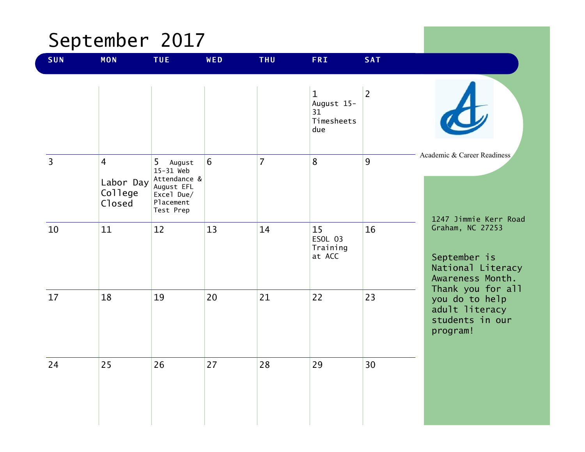### September 2017

| <b>SUN</b>     | <b>MON</b>                                       | TUE                                                                                         | WED | <b>THU</b>     | <b>FRI</b>                                            | <b>SAT</b>     |                                                                                                |
|----------------|--------------------------------------------------|---------------------------------------------------------------------------------------------|-----|----------------|-------------------------------------------------------|----------------|------------------------------------------------------------------------------------------------|
|                |                                                  |                                                                                             |     |                | $\mathbf{1}$<br>August 15-<br>31<br>Timesheets<br>due | $\overline{2}$ |                                                                                                |
| $\overline{3}$ | $\overline{4}$<br>Labor Day<br>College<br>Closed | 5 August<br>15-31 Web<br>Attendance &<br>August EFL<br>Excel Due/<br>Placement<br>Test Prep | 6   | $\overline{7}$ | 8                                                     | 9              | Academic & Career Readiness<br>1247 Jimmie Kerr Road                                           |
| 10             | 11                                               | 12                                                                                          | 13  | 14             | 15<br>ESOL 03<br>Training<br>at ACC                   | 16             | Graham, NC 27253<br>September is<br>National Literacy<br>Awareness Month.<br>Thank you for all |
| 17             | 18                                               | 19                                                                                          | 20  | 21             | 22                                                    | 23             | you do to help<br>adult literacy<br>students in our<br>program!                                |
| 24             | 25                                               | 26                                                                                          | 27  | 28             | 29                                                    | 30             |                                                                                                |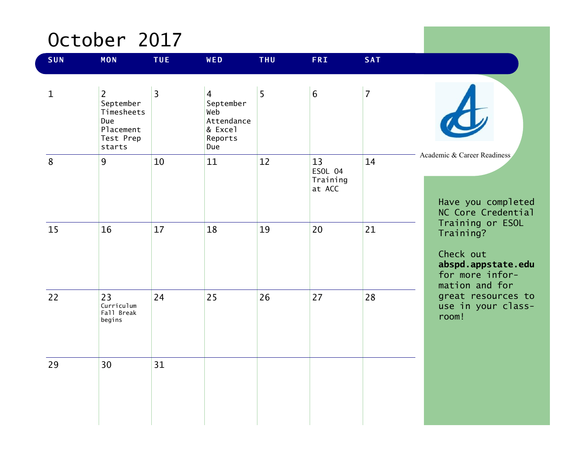### October 2017

| <b>SUN</b>  | <b>MON</b>                                                                           | <b>TUE</b> | WED                                                                           | <b>THU</b> | <b>FRI</b>                          | <b>SAT</b>     |                                                                                                       |
|-------------|--------------------------------------------------------------------------------------|------------|-------------------------------------------------------------------------------|------------|-------------------------------------|----------------|-------------------------------------------------------------------------------------------------------|
| $\mathbf 1$ | $\overline{2}$<br>September<br>Timesheets<br>Due<br>Placement<br>Test Prep<br>starts | 3          | $\overline{4}$<br>September<br>Web<br>Attendance<br>& Excel<br>Reports<br>Due | 5          | $6\overline{6}$                     | $\overline{7}$ |                                                                                                       |
| $\bf 8$     | 9                                                                                    | 10         | 11                                                                            | 12         | 13<br>ESOL 04<br>Training<br>at ACC | 14             | Academic & Career Readiness<br>Have you completed<br>NC Core Credential                               |
| 15          | 16                                                                                   | 17         | 18                                                                            | 19         | 20                                  | 21             | Training or ESOL<br>Training?<br>Check out<br>abspd.appstate.edu<br>for more infor-<br>mation and for |
| 22          | 23<br>Curriculum<br>Fall Break<br>begins                                             | 24         | 25                                                                            | 26         | 27                                  | 28             | great resources to<br>use in your class-<br>room!                                                     |
| 29          | 30                                                                                   | 31         |                                                                               |            |                                     |                |                                                                                                       |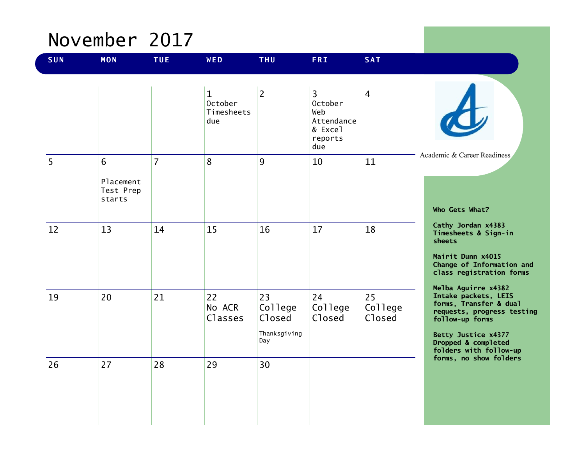### November 2017

| <b>SUN</b> | <b>MON</b>                            | <b>TUE</b>     | WED                                                 | <b>THU</b>                                     | <b>FRI</b>                                                                         | <b>SAT</b>                     |                                                                                                                                                                                                |
|------------|---------------------------------------|----------------|-----------------------------------------------------|------------------------------------------------|------------------------------------------------------------------------------------|--------------------------------|------------------------------------------------------------------------------------------------------------------------------------------------------------------------------------------------|
|            |                                       |                | $\mathbf{1}$<br><b>October</b><br>Timesheets<br>due | $\overline{2}$                                 | $\overline{3}$<br><b>October</b><br>Web<br>Attendance<br>& Excel<br>reports<br>due | $\overline{4}$                 |                                                                                                                                                                                                |
| 5          | 6<br>Placement<br>Test Prep<br>starts | $\overline{7}$ | 8                                                   | 9                                              | 10                                                                                 | 11                             | Academic & Career Readiness<br>Who Gets What?                                                                                                                                                  |
| 12         | 13                                    | 14             | 15                                                  | 16                                             | 17                                                                                 | 18                             | Cathy Jordan x4383<br>Timesheets & Sign-in<br>sheets<br>Mairit Dunn x4015<br>Change of Information and<br>class registration forms                                                             |
| 19         | 20                                    | 21             | 22<br>No ACR<br>Classes                             | 23<br>College<br>Closed<br>Thanksgiving<br>Day | 24<br>College<br>Closed                                                            | 25<br>College<br><b>Closed</b> | Melba Aguirre x4382<br>Intake packets, LEIS<br>forms, Transfer & dual<br>requests, progress testing<br>follow-up forms<br>Betty Justice x4377<br>Dropped & completed<br>folders with follow-up |
| 26         | 27                                    | 28             | 29                                                  | 30                                             |                                                                                    |                                | forms, no show folders                                                                                                                                                                         |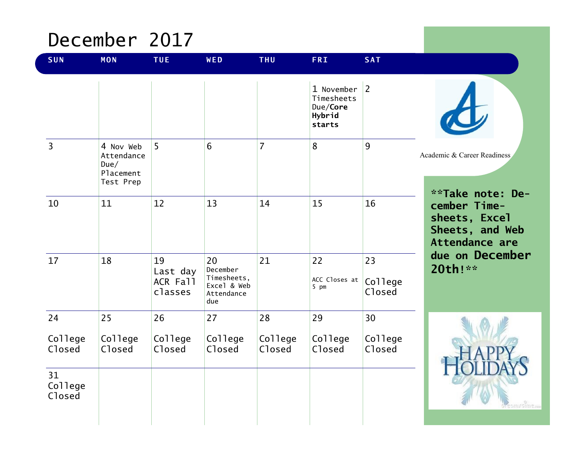### December 2017

| <b>SUN</b>              | <b>MON</b>                                                | <b>TUE</b>                            | WED                                                               | <b>THU</b>        | <b>FRI</b>                                               | <b>SAT</b>               |                                                                           |
|-------------------------|-----------------------------------------------------------|---------------------------------------|-------------------------------------------------------------------|-------------------|----------------------------------------------------------|--------------------------|---------------------------------------------------------------------------|
|                         |                                                           |                                       |                                                                   |                   | 1 November<br>Timesheets<br>Due/Core<br>Hybrid<br>starts | $\overline{2}$           |                                                                           |
| $\overline{3}$          | 4 Nov Web<br>Attendance<br>Due/<br>Placement<br>Test Prep | 5                                     | $6\phantom{1}$                                                    | $\overline{7}$    | 8                                                        | 9                        | Academic & Career Readiness<br>**Take note: De-                           |
| 10                      | 11                                                        | 12                                    | 13                                                                | 14                | 15                                                       | 16                       | cember Time-<br>sheets, Excel<br>Sheets, and Web<br><b>Attendance are</b> |
| 17                      | 18                                                        | 19<br>Last day<br>ACR Fall<br>classes | 20<br>December<br>Timesheets,<br>Excel & Web<br>Attendance<br>due | 21                | 22<br>ACC Closes at<br>5 pm                              | 23<br>College<br>Closed  | due on December<br>20th!**                                                |
| 24                      | 25                                                        | 26                                    | 27                                                                | 28                | 29                                                       | 30                       |                                                                           |
| College<br>Closed<br>31 | College<br>Closed                                         | College<br>Closed                     | College<br>Closed                                                 | College<br>Closed | College<br>Closed                                        | College<br><b>Closed</b> |                                                                           |
| College<br>Closed       |                                                           |                                       |                                                                   |                   |                                                          |                          | imrome.                                                                   |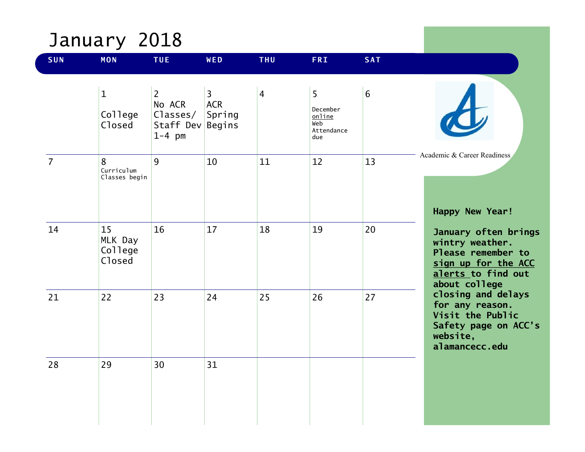# January 2018

| <b>SUN</b>     | <b>MON</b>                         | <b>TUE</b>                                                           | WED                                    | <b>THU</b>     | <b>FRI</b>                                                       | <b>SAT</b>      |                                                                                                                             |
|----------------|------------------------------------|----------------------------------------------------------------------|----------------------------------------|----------------|------------------------------------------------------------------|-----------------|-----------------------------------------------------------------------------------------------------------------------------|
|                | $\mathbf 1$<br>College<br>Closed   | $\overline{2}$<br>No ACR<br>Classes/<br>Staff Dev Begins<br>$1-4$ pm | $\overline{3}$<br><b>ACR</b><br>Spring | $\overline{4}$ | 5 <sup>5</sup><br>December<br>online<br>Web<br>Attendance<br>due | $6\phantom{1}6$ |                                                                                                                             |
| $\overline{7}$ | 8<br>Curriculum<br>Classes begin   | $\overline{9}$                                                       | 10                                     | 11             | 12                                                               | 13              | Academic & Career Readiness<br>Happy New Year!                                                                              |
| 14             | 15<br>MLK Day<br>College<br>Closed | 16                                                                   | 17                                     | 18             | 19                                                               | 20              | January often brings<br>wintry weather.<br>Please remember to<br>sign up for the ACC<br>alerts to find out<br>about college |
| 21             | 22                                 | 23                                                                   | 24                                     | 25             | 26                                                               | 27              | closing and delays<br>for any reason.<br>Visit the Public<br>Safety page on ACC's<br>website,<br>alamancecc.edu             |
| 28             | 29                                 | 30                                                                   | 31                                     |                |                                                                  |                 |                                                                                                                             |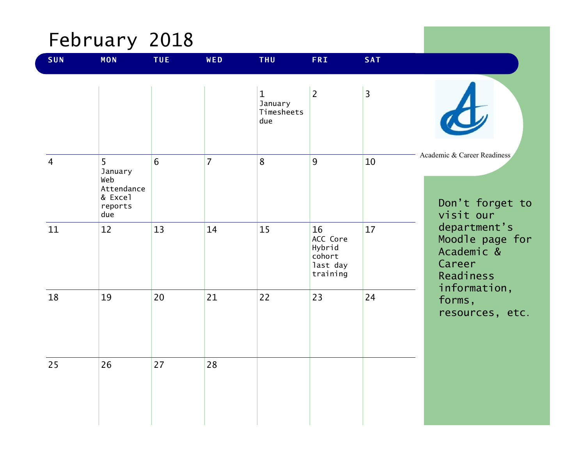# February 2018

| SUN            | <b>MON</b>                                                     | <b>TUE</b>     | WED            | <b>THU</b>                                   | <b>FRI</b>                                                 | <b>SAT</b>     |                                                                      |
|----------------|----------------------------------------------------------------|----------------|----------------|----------------------------------------------|------------------------------------------------------------|----------------|----------------------------------------------------------------------|
|                |                                                                |                |                | $\mathbf{1}$<br>January<br>Timesheets<br>due | $\overline{2}$                                             | $\overline{3}$ |                                                                      |
| $\overline{4}$ | 5<br>January<br>Web<br>Attendance<br>& Excel<br>reports<br>due | $6\phantom{1}$ | $\overline{7}$ | 8                                            | 9                                                          | 10             | Academic & Career Readiness<br>Don't forget to<br>visit our          |
| 11             | 12                                                             | 13             | 14             | 15                                           | 16<br>ACC Core<br>Hybrid<br>cohort<br>last day<br>training | 17             | department's<br>Moodle page for<br>Academic &<br>Career<br>Readiness |
| 18             | 19                                                             | 20             | 21             | 22                                           | 23                                                         | 24             | information,<br>forms,<br>resources, etc.                            |
| 25             | 26                                                             | 27             | 28             |                                              |                                                            |                |                                                                      |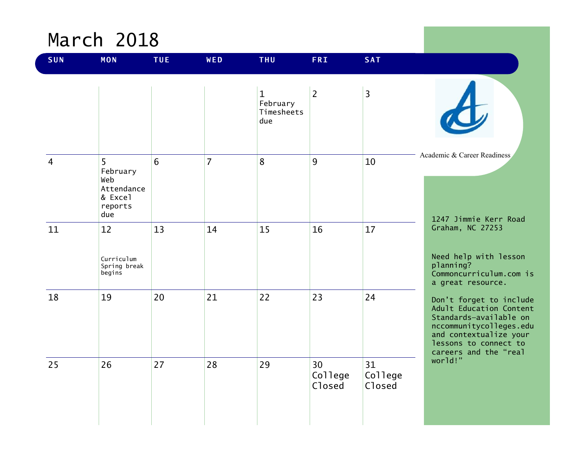#### March 2018

| <b>SUN</b>     | <b>MON</b>                                                      | <b>TUE</b> | WED            | <b>THU</b>                                    | <b>FRI</b>              | <b>SAT</b>              |                                                                                                                                                                                     |
|----------------|-----------------------------------------------------------------|------------|----------------|-----------------------------------------------|-------------------------|-------------------------|-------------------------------------------------------------------------------------------------------------------------------------------------------------------------------------|
|                |                                                                 |            |                | $\mathbf{1}$<br>February<br>Timesheets<br>due | $\overline{2}$          | $\overline{3}$          |                                                                                                                                                                                     |
| $\overline{4}$ | 5<br>February<br>Web<br>Attendance<br>& Excel<br>reports<br>due | 6          | $\overline{7}$ | 8                                             | 9                       | 10                      | Academic & Career Readiness<br>1247 Jimmie Kerr Road                                                                                                                                |
| 11             | 12<br>Curriculum<br>Spring break<br>begins                      | 13         | 14             | 15                                            | 16                      | 17                      | Graham, NC 27253<br>Need help with lesson<br>planning?<br>Commoncurriculum.com is<br>a great resource.                                                                              |
| 18             | 19                                                              | 20         | 21             | 22                                            | 23                      | 24                      | Don't forget to include<br>Adult Education Content<br>Standards-available on<br>nccommunitycolleges.edu<br>and contextualize your<br>lessons to connect to<br>careers and the "real |
| 25             | 26                                                              | 27         | 28             | 29                                            | 30<br>College<br>Closed | 31<br>College<br>Closed | world!"                                                                                                                                                                             |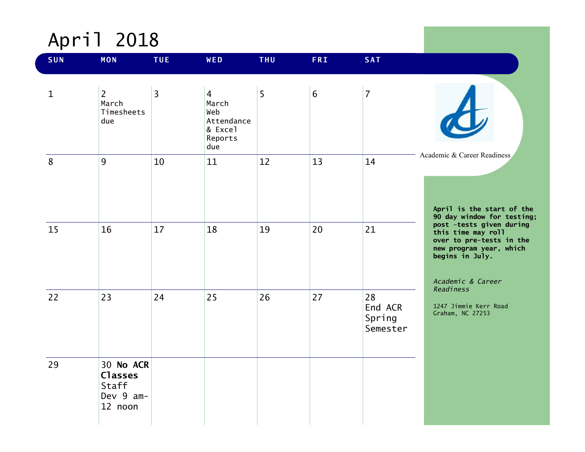# April 2018

| <b>SUN</b>  | <b>MON</b>                                                   | <b>TUE</b>     | WED                                                                       | <b>THU</b> | <b>FRI</b>     | <b>SAT</b>                          |                                                                                                                                                                                                         |
|-------------|--------------------------------------------------------------|----------------|---------------------------------------------------------------------------|------------|----------------|-------------------------------------|---------------------------------------------------------------------------------------------------------------------------------------------------------------------------------------------------------|
| $\mathbf 1$ | $\overline{2}$<br>March<br>Timesheets<br>due                 | $\overline{3}$ | $\overline{4}$<br>March<br>Web<br>Attendance<br>& Excel<br>Reports<br>due | 5          | $6\phantom{1}$ | $\overline{7}$                      |                                                                                                                                                                                                         |
| 8           | 9                                                            | 10             | 11                                                                        | 12         | 13             | 14                                  | Academic & Career Readiness<br>April is the start of the<br>90 day window for testing;                                                                                                                  |
| 15          | 16                                                           | 17             | 18                                                                        | 19         | 20             | 21                                  | post -tests given during<br>this time may roll<br>over to pre-tests in the<br>new program year, which<br>begins in July.<br>Academic & Career<br>Readiness<br>1247 Jimmie Kerr Road<br>Graham, NC 27253 |
| 22          | 23                                                           | 24             | 25                                                                        | 26         | 27             | 28<br>End ACR<br>Spring<br>Semester |                                                                                                                                                                                                         |
| 29          | 30 No ACR<br><b>Classes</b><br>Staff<br>Dev 9 am-<br>12 noon |                |                                                                           |            |                |                                     |                                                                                                                                                                                                         |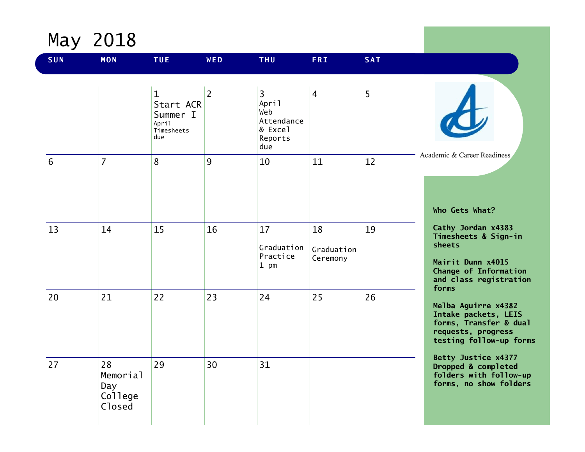May 2018

| <b>SUN</b> | <b>MON</b>                                 | <b>TUE</b>                                                          | WED            | <b>THU</b>                                                                | <b>FRI</b>                   | <b>SAT</b> |                                                                                                                                       |
|------------|--------------------------------------------|---------------------------------------------------------------------|----------------|---------------------------------------------------------------------------|------------------------------|------------|---------------------------------------------------------------------------------------------------------------------------------------|
|            |                                            | $\mathbf{1}$<br>Start ACR<br>Summer I<br>April<br>Timesheets<br>due | $\overline{2}$ | $\overline{3}$<br>April<br>Web<br>Attendance<br>& Excel<br>Reports<br>due | $\overline{4}$               | 5          |                                                                                                                                       |
| 6          | $\overline{7}$                             | 8                                                                   | 9              | 10                                                                        | 11                           | 12         | Academic & Career Readiness<br>Who Gets What?                                                                                         |
| 13         | 14                                         | 15                                                                  | 16             | 17<br>Graduation<br>Practice<br>1 pm                                      | 18<br>Graduation<br>Ceremony | 19         | Cathy Jordan x4383<br>Timesheets & Sign-in<br>sheets<br>Mairit Dunn x4015<br>Change of Information<br>and class registration<br>forms |
| 20         | 21                                         | 22                                                                  | 23             | 24                                                                        | 25                           | 26         | Melba Aguirre x4382<br>Intake packets, LEIS<br>forms, Transfer & dual<br>requests, progress<br>testing follow-up forms                |
| 27         | 28<br>Memorial<br>Day<br>College<br>Closed | 29                                                                  | 30             | 31                                                                        |                              |            | Betty Justice x4377<br>Dropped & completed<br>folders with follow-up<br>forms, no show folders                                        |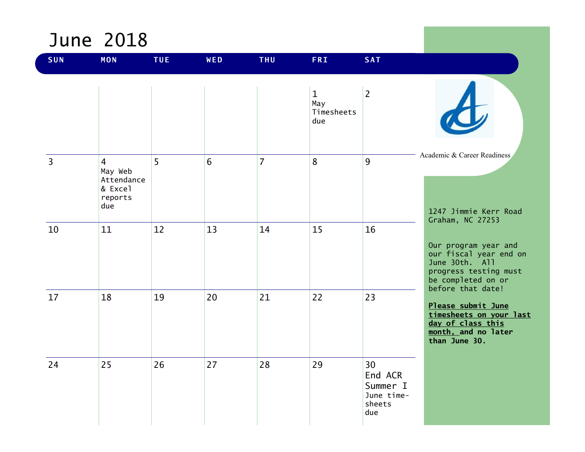#### June 2018

| <b>SUN</b>     | <b>MON</b>                                                           | <b>TUE</b>     | WED            | <b>THU</b>     | <b>FRI</b>                               | <b>SAT</b>                                               |                                                                                                                                      |
|----------------|----------------------------------------------------------------------|----------------|----------------|----------------|------------------------------------------|----------------------------------------------------------|--------------------------------------------------------------------------------------------------------------------------------------|
|                |                                                                      |                |                |                | $\mathbf{1}$<br>May<br>Timesheets<br>due | $\overline{2}$                                           |                                                                                                                                      |
| $\overline{3}$ | $\overline{4}$<br>May Web<br>Attendance<br>& Excel<br>reports<br>due | 5 <sup>1</sup> | $6\phantom{1}$ | $\overline{7}$ | 8                                        | 9                                                        | Academic & Career Readiness<br>1247 Jimmie Kerr Road<br>Graham, NC 27253                                                             |
| 10             | 11                                                                   | 12             | 13             | 14             | 15                                       | 16                                                       | Our program year and<br>our fiscal year end on<br>June 30th. All<br>progress testing must<br>be completed on or<br>before that date! |
| 17             | 18                                                                   | 19             | 20             | 21             | 22                                       | 23                                                       | Please submit June<br>timesheets on your last<br>day of class this<br>month, and no later<br>than June 30.                           |
| 24             | 25                                                                   | 26             | 27             | 28             | 29                                       | 30<br>End ACR<br>Summer I<br>June time-<br>sheets<br>due |                                                                                                                                      |